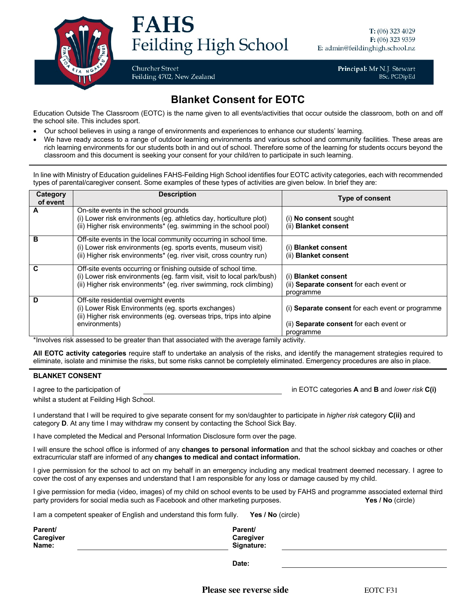

## **FAHS** Feilding High School

**Churcher Street** Feilding 4702, New Zealand Principal: Mr N.J. Stewart **BSc, PGDipEd** 

## **Blanket Consent for EOTC**

Education Outside The Classroom (EOTC) is the name given to all events/activities that occur outside the classroom, both on and off the school site. This includes sport.

- Our school believes in using a range of environments and experiences to enhance our students' learning.
- We have ready access to a range of outdoor learning environments and various school and community facilities. These areas are rich learning environments for our students both in and out of school. Therefore some of the learning for students occurs beyond the classroom and this document is seeking your consent for your child/ren to participate in such learning.

In line with Ministry of Education guidelines FAHS-Feilding High School identifies four EOTC activity categories, each with recommended types of parental/caregiver consent. Some examples of these types of activities are given below. In brief they are:

| Category | <b>Description</b>                                                     | <b>Type of consent</b>                           |
|----------|------------------------------------------------------------------------|--------------------------------------------------|
| of event |                                                                        |                                                  |
| Α        | On-site events in the school grounds                                   |                                                  |
|          | (i) Lower risk environments (eg. athletics day, horticulture plot)     | (i) No consent sought                            |
|          | (ii) Higher risk environments* (eg. swimming in the school pool)       | (ii) Blanket consent                             |
| в        | Off-site events in the local community occurring in school time.       |                                                  |
|          | (i) Lower risk environments (eg. sports events, museum visit)          | (i) Blanket consent                              |
|          | (ii) Higher risk environments* (eg. river visit, cross country run)    | (ii) Blanket consent                             |
| C        | Off-site events occurring or finishing outside of school time.         |                                                  |
|          | (i) Lower risk environments (eg. farm visit, visit to local park/bush) | (i) Blanket consent                              |
|          | (ii) Higher risk environments* (eg. river swimming, rock climbing)     | (ii) Separate consent for each event or          |
|          |                                                                        | programme                                        |
| D        | Off-site residential overnight events                                  |                                                  |
|          | (i) Lower Risk Environments (eg. sports exchanges)                     | (i) Separate consent for each event or programme |
|          | (ii) Higher risk environments (eg. overseas trips, trips into alpine   |                                                  |
|          | environments)                                                          | (ii) Separate consent for each event or          |
|          |                                                                        | programme                                        |

\*Involves risk assessed to be greater than that associated with the average family activity.

**All EOTC activity categories** require staff to undertake an analysis of the risks, and identify the management strategies required to eliminate, isolate and minimise the risks, but some risks cannot be completely eliminated. Emergency procedures are also in place.

## **BLANKET CONSENT**

I agree to the participation of in EOTC categories **A** and **B** and *lower risk* **C(i)**

whilst a student at Feilding High School.

I understand that I will be required to give separate consent for my son/daughter to participate in *higher risk* category **C(ii)** and category **D**. At any time I may withdraw my consent by contacting the School Sick Bay.

I have completed the Medical and Personal Information Disclosure form over the page.

I will ensure the school office is informed of any **changes to personal information** and that the school sickbay and coaches or other extracurricular staff are informed of any **changes to medical and contact information.** 

I give permission for the school to act on my behalf in an emergency including any medical treatment deemed necessary. I agree to cover the cost of any expenses and understand that I am responsible for any loss or damage caused by my child.

I give permission for media (video, images) of my child on school events to be used by FAHS and programme associated external third party providers for social media such as Facebook and other marketing purposes. **Yes / No** (circle)

I am a competent speaker of English and understand this form fully. **Yes / No** (circle)

| Parent/          | Parent/          |
|------------------|------------------|
| <b>Caregiver</b> | <b>Caregiver</b> |
| Name:            | Signature:       |

**Date:**

**Please see reverse side EOTC F31**